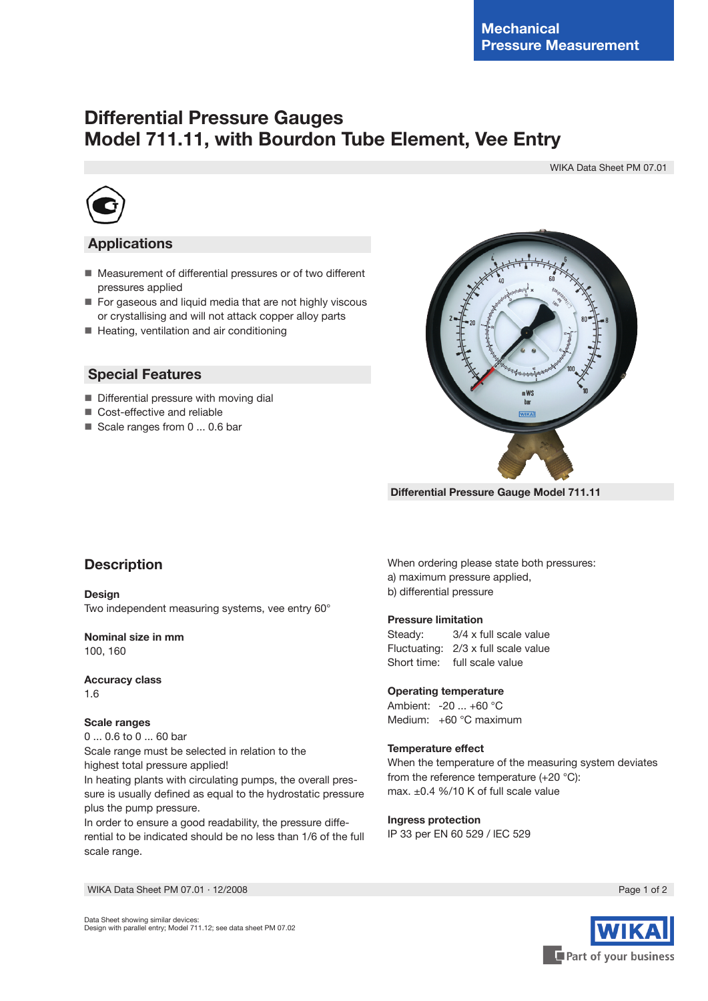# **Differential Pressure Gauges Model 711.11, with Bourdon Tube Element, Vee Entry**

WIKA Data Sheet PM 07.01



## **Applications**

- Measurement of differential pressures or of two different pressures applied
- For gaseous and liquid media that are not highly viscous or crystallising and will not attack copper alloy parts
- Heating, ventilation and air conditioning

### **Special Features**

- **Differential pressure with moving dial**
- Cost-effective and reliable
- Scale ranges from 0 ... 0.6 bar



 **Differential Pressure Gauge Model 711.11**

## **Description**

**Design** Two independent measuring systems, vee entry 60°

#### **Nominal size in mm** 100, 160

**Accuracy class**  1.6

#### **Scale ranges**

0 ... 0.6 to 0 ... 60 bar Scale range must be selected in relation to the highest total pressure applied! In heating plants with circulating pumps, the overall pressure is usually defined as equal to the hydrostatic pressure

plus the pump pressure. In order to ensure a good readability, the pressure differential to be indicated should be no less than 1/6 of the full scale range.

When ordering please state both pressures: a) maximum pressure applied, b) differential pressure

#### **Pressure limitation**

Steady:  $3/4 \times$  full scale value Fluctuating: 2/3 x full scale value Short time: full scale value

#### **Operating temperature**

Ambient: -20 ... +60 °C Medium: +60 °C maximum

#### **Temperature effect**

When the temperature of the measuring system deviates from the reference temperature (+20 °C): max. ±0.4 %/10 K of full scale value

**Ingress protection** IP 33 per EN 60 529 / lEC 529



WIKA Data Sheet PM 07.01 ∙ 12/2008 Page 1 of 2